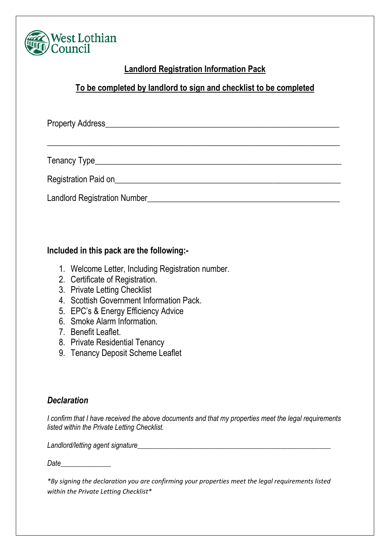

## **Landlord Registration Information Pack**

## **To be completed by landlord to sign and checklist to be completed**

Property Address\_\_\_\_\_\_\_\_\_\_\_\_\_\_\_\_\_\_\_\_\_\_\_\_\_\_\_\_\_\_\_\_\_\_\_\_\_\_\_\_\_\_\_\_\_\_\_\_\_\_\_\_\_\_\_\_

\_\_\_\_\_\_\_\_\_\_\_\_\_\_\_\_\_\_\_\_\_\_\_\_\_\_\_\_\_\_\_\_\_\_\_\_\_\_\_\_\_\_\_\_\_\_\_\_\_\_\_\_\_\_\_\_\_\_\_\_\_\_\_\_\_\_\_\_\_\_

Tenancy Type\_\_\_\_\_\_\_\_\_\_\_\_\_\_\_\_\_\_\_\_\_\_\_\_\_\_\_\_\_\_\_\_\_\_\_\_\_\_\_\_\_\_\_\_\_\_\_\_\_\_\_\_\_\_\_\_\_\_\_

Registration Paid on **Example 20** and  $\alpha$  and  $\alpha$  and  $\alpha$  and  $\alpha$  and  $\alpha$  and  $\alpha$  and  $\alpha$  and  $\alpha$  and  $\alpha$  and  $\alpha$  and  $\alpha$  and  $\alpha$  and  $\alpha$  and  $\alpha$  and  $\alpha$  and  $\alpha$  and  $\alpha$  and  $\alpha$  and  $\alpha$  and  $\alpha$  and  $\alpha$ 

Landlord Registration Number\_\_\_\_\_\_\_\_\_\_\_\_\_\_\_\_\_\_\_\_\_\_\_\_\_\_\_\_\_\_\_\_\_\_\_\_\_\_\_\_\_\_\_\_\_\_

### **Included in this pack are the following:-**

- 1. Welcome Letter, Including Registration number.
- 2. Certificate of Registration.
- 3. Private Letting Checklist
- 4. Scottish Government Information Pack.
- 5. EPC's & Energy Efficiency Advice
- 6. Smoke Alarm Information.
- 7. Benefit Leaflet.
- 8. Private Residential Tenancy
- 9. Tenancy Deposit Scheme Leaflet

### *Declaration*

*I confirm that I have received the above documents and that my properties meet the legal requirements listed within the Private Letting Checklist.*

Landlord/letting agent signature

*Date\_\_\_\_\_\_\_\_\_\_\_\_\_\_*

*\*By signing the declaration you are confirming your properties meet the legal requirements listed within the Private Letting Checklist\**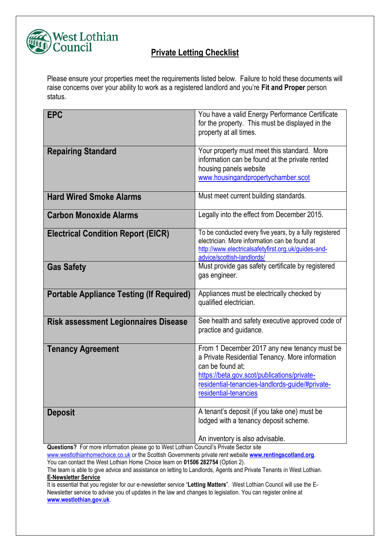

### **Private Letting Checklist**

Please ensure your properties meet the requirements listed below. Failure to hold these documents will raise concerns over your ability to work as a registered landlord and you're **Fit and Proper** person status.

| <b>EPC</b>                                      | You have a valid Energy Performance Certificate<br>for the property. This must be displayed in the<br>property at all times.                                                                                                                   |
|-------------------------------------------------|------------------------------------------------------------------------------------------------------------------------------------------------------------------------------------------------------------------------------------------------|
| <b>Repairing Standard</b>                       | Your property must meet this standard. More<br>information can be found at the private rented<br>housing panels website<br>www.housingandpropertychamber.scot                                                                                  |
| <b>Hard Wired Smoke Alarms</b>                  | Must meet current building standards.                                                                                                                                                                                                          |
| <b>Carbon Monoxide Alarms</b>                   | Legally into the effect from December 2015.                                                                                                                                                                                                    |
| <b>Electrical Condition Report (EICR)</b>       | To be conducted every five years, by a fully registered<br>electrician. More information can be found at<br>http://www.electricalsafetyfirst.org.uk/guides-and-<br>advice/scottish-landlords/                                                  |
| <b>Gas Safety</b>                               | Must provide gas safety certificate by registered<br>gas engineer.                                                                                                                                                                             |
| <b>Portable Appliance Testing (If Required)</b> | Appliances must be electrically checked by<br>qualified electrician.                                                                                                                                                                           |
| <b>Risk assessment Legionnaires Disease</b>     | See health and safety executive approved code of<br>practice and guidance.                                                                                                                                                                     |
| <b>Tenancy Agreement</b>                        | From 1 December 2017 any new tenancy must be<br>a Private Residential Tenancy. More information<br>can be found at:<br>https://beta.gov.scot/publications/private-<br>residential-tenancies-landlords-guide/#private-<br>residential-tenancies |
| <b>Deposit</b>                                  | A tenant's deposit (if you take one) must be<br>lodged with a tenancy deposit scheme.<br>An inventory is also advisable.                                                                                                                       |

**Questions?** For more information please go to West Lothian Council's Private Sector site

[www.westlothianhomechoice.co.uk](http://www.westlothianhomechoice.co.uk/) or the Scottish Governments private rent website **[www.rentingscotland.org](http://www.rentingscotland.org/)**.

You can contact the West Lothian Home Choice team on **01506 282754** (Option 2).

The team is able to give advice and assistance on letting to Landlords, Agents and Private Tenants in West Lothian. **E-Newsletter Service**

It is essential that you register for our e-newsletter service "**Letting Matters**". West Lothian Council will use the E-Newsletter service to advise you of updates in the law and changes to legislation. You can register online at **[www.westlothian.gov.uk](http://www.westlothian.gov.uk/)**.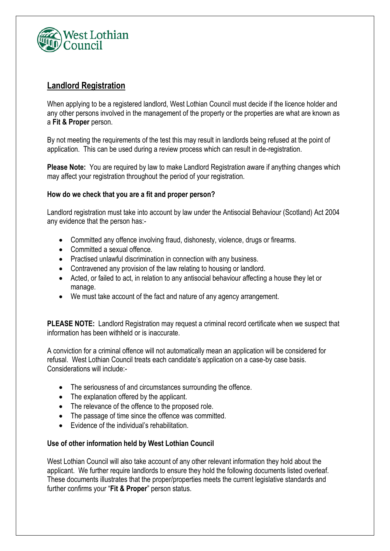

### **Landlord Registration**

When applying to be a registered landlord, West Lothian Council must decide if the licence holder and any other persons involved in the management of the property or the properties are what are known as a **Fit & Proper** person.

By not meeting the requirements of the test this may result in landlords being refused at the point of application. This can be used during a review process which can result in de-registration.

**Please Note:** You are required by law to make Landlord Registration aware if anything changes which may affect your registration throughout the period of your registration.

### **How do we check that you are a fit and proper person?**

Landlord registration must take into account by law under the Antisocial Behaviour (Scotland) Act 2004 any evidence that the person has:-

- Committed any offence involving fraud, dishonesty, violence, drugs or firearms.
- Committed a sexual offence
- Practised unlawful discrimination in connection with any business.
- Contravened any provision of the law relating to housing or landlord.
- Acted, or failed to act, in relation to any antisocial behaviour affecting a house they let or manage.
- We must take account of the fact and nature of any agency arrangement.

**PLEASE NOTE:** Landlord Registration may request a criminal record certificate when we suspect that information has been withheld or is inaccurate.

A conviction for a criminal offence will not automatically mean an application will be considered for refusal. West Lothian Council treats each candidate's application on a case-by case basis. Considerations will include:-

- The seriousness of and circumstances surrounding the offence.
- The explanation offered by the applicant.
- The relevance of the offence to the proposed role.
- The passage of time since the offence was committed.
- Evidence of the individual's rehabilitation.

### **Use of other information held by West Lothian Council**

West Lothian Council will also take account of any other relevant information they hold about the applicant. We further require landlords to ensure they hold the following documents listed overleaf. These documents illustrates that the proper/properties meets the current legislative standards and further confirms your "**Fit & Proper**" person status.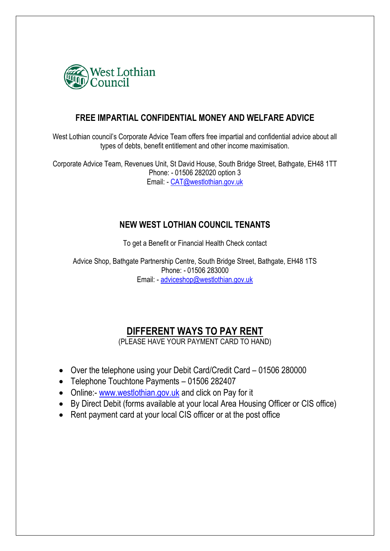

### **FREE IMPARTIAL CONFIDENTIAL MONEY AND WELFARE ADVICE**

West Lothian council's Corporate Advice Team offers free impartial and confidential advice about all types of debts, benefit entitlement and other income maximisation.

Corporate Advice Team, Revenues Unit, St David House, South Bridge Street, Bathgate, EH48 1TT Phone: - 01506 282020 option 3 Email: - [CAT@westlothian.gov.uk](mailto:CAT@westlothian.gov.uk)

### **NEW WEST LOTHIAN COUNCIL TENANTS**

To get a Benefit or Financial Health Check contact

Advice Shop, Bathgate Partnership Centre, South Bridge Street, Bathgate, EH48 1TS Phone: - 01506 283000 Email: - [adviceshop@westlothian.gov.uk](mailto:adviceshop@westlothian.gov.uk)

# **DIFFERENT WAYS TO PAY RENT**

(PLEASE HAVE YOUR PAYMENT CARD TO HAND)

- Over the telephone using your Debit Card/Credit Card 01506 280000
- Telephone Touchtone Payments 01506 282407
- Online:- [www.westlothian.gov.uk](http://www.westlothian.gov.uk/) and click on Pay for it
- By Direct Debit (forms available at your local Area Housing Officer or CIS office)
- Rent payment card at your local CIS officer or at the post office